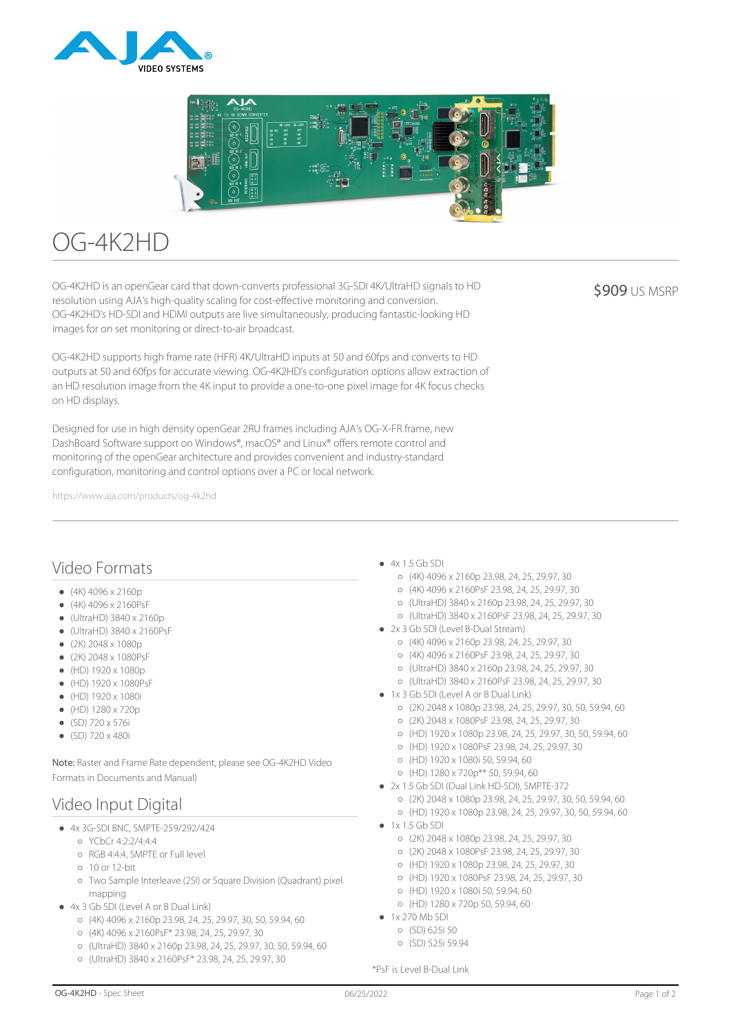



# OG-4K2HD

OG-4K2HD is an openGear card that down-converts professional 3G-SDI 4K/UltraHD signals to HD resolution using AJA's high-quality scaling for cost-effective monitoring and conversion. OG-4K2HD's HD-SDI and HDMI outputs are live simultaneously, producing fantastic-looking HD images for on set monitoring or direct-to-air broadcast.

**\$909 US MSRP** 

OG-4K2HD supports high frame rate (HFR) 4K/UltraHD inputs at 50 and 60fps and converts to HD outputs at 50 and 60fps for accurate viewing. OG-4K2HD's configuration options allow extraction of an HD resolution image from the 4K input to provide a one-to-one pixel image for 4K focus checks on HD displays.

Designed for use in high density openGear 2RU frames including AJA's OG-X-FR frame, new DashBoard Software support on Windows®, macOS® and Linux® offers remote control and monitoring of the openGear architecture and provides convenient and industry-standard configuration, monitoring and control options over a PC or local network.

https://www.aja.com/products/og-4k2hd

### Video Formats

- $(4K)$  4096 x 2160p
- $(4K)$  4096 x 2160PsF
- $\bullet$  (UltraHD) 3840 x 2160p
- (UltraHD) 3840 x 2160PsF
- $(2K)$  2048 x 1080p
- (2K) 2048 x 1080PsF
- $(HD) 1920 \times 1080p$
- (HD) 1920 x 1080PsF
- $(HD) 1920 \times 1080i$
- $\bullet$  (HD) 1280 x 720p
- $(SD)$  720 x 576i
- $\bullet$  (SD) 720 x 480i

Note: Raster and Frame Rate dependent, please see OG-4K2HD Video Formats in Documents and Manual)

# Video Input Digital

- 4x 3G-SDI BNC, SMPTE-259/292/424
	- YCbCr 4:2:2/4:4:4
	- RGB 4:4:4, SMPTE or Full level
	- 10 or 12-bit
	- Two Sample Interleave (2SI) or Square Division (Quadrant) pixel mapping
- 4x 3 Gb SDI (Level A or B Dual Link)
	- (4K) 4096 x 2160p 23.98, 24, 25, 29.97, 30, 50, 59.94, 60
	- (4K) 4096 x 2160PsF\* 23.98, 24, 25, 29.97, 30
	- (UltraHD) 3840 x 2160p 23.98, 24, 25, 29.97, 30, 50, 59.94, 60
	- (UltraHD) 3840 x 2160PsF\* 23.98, 24, 25, 29.97, 30
- $-4x$  1.5 Gb SDI
	- $(4K)$  4096 x 2160p 23.98, 24, 25, 29.97, 30
	- (4K) 4096 x 2160PsF 23.98, 24, 25, 29.97, 30
	- (UltraHD) 3840 x 2160p 23.98, 24, 25, 29.97, 30
	- (UltraHD) 3840 x 2160PsF 23.98, 24, 25, 29.97, 30
- 2x 3 Gb SDI (Level B-Dual Stream)
	- (4K) 4096 x 2160p 23.98, 24, 25, 29.97, 30
	- (4K) 4096 x 2160PsF 23.98, 24, 25, 29.97, 30
	- (UltraHD) 3840 x 2160p 23.98, 24, 25, 29.97, 30
	- (UltraHD) 3840 x 2160PsF 23.98, 24, 25, 29.97, 30
- 1x 3 Gb SDI (Level A or B Dual Link)
	- (2K) 2048 x 1080p 23.98, 24, 25, 29.97, 30, 50, 59.94, 60
	- (2K) 2048 x 1080PsF 23.98, 24, 25, 29.97, 30
	- (HD) 1920 x 1080p 23.98, 24, 25, 29.97, 30, 50, 59.94, 60
	- (HD) 1920 x 1080PsF 23.98, 24, 25, 29.97, 30
	- (HD) 1920 x 1080i 50, 59.94, 60
	- (HD) 1280 x 720p\*\* 50, 59.94, 60
- 2x 1.5 Gb SDI (Dual Link HD-SDI), SMPTE-372
	- (2K) 2048 x 1080p 23.98, 24, 25, 29.97, 30, 50, 59.94, 60
	- (HD) 1920 x 1080p 23.98, 24, 25, 29.97, 30, 50, 59.94, 60
- $1x 15$  Gb SDI
	- (2K) 2048 x 1080p 23.98, 24, 25, 29.97, 30
	- (2K) 2048 x 1080PsF 23.98, 24, 25, 29.97, 30
	- (HD) 1920 x 1080p 23.98, 24, 25, 29.97, 30
	- (HD) 1920 x 1080PsF 23.98, 24, 25, 29.97, 30
	- (HD) 1920 x 1080i 50, 59.94, 60
	- (HD) 1280 x 720p 50, 59.94, 60
- $\bullet$  1x 270 Mb SDI
	- (SD) 625i 50
	- (SD) 525i 59.94

\*PsF is Level B-Dual Link